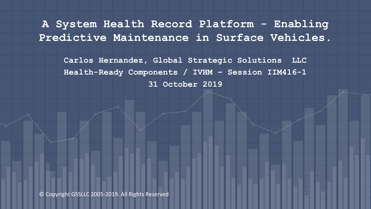**A System Health Record Platform - Enabling Predictive Maintenance in Surface Vehicles.**

**Carlos Hernandez, Global Strategic Solutions LLC Health-Ready Components / IVHM – Session IIM416-1 31 October 2019**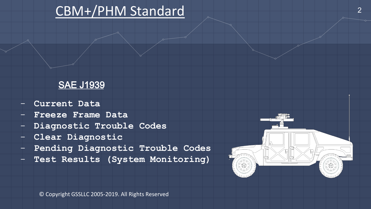## CBM+/PHM Standard

### SAE J1939

- **Current Data**
- **Freeze Frame Data**
- **Diagnostic Trouble Codes**
- **Clear Diagnostic**
- **Pending Diagnostic Trouble Codes**
- **Test Results (System Monitoring)**



2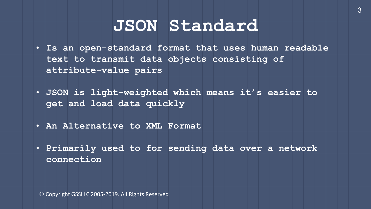# **JSON Standard**

- **Is an open-standard format that uses human readable text to transmit data objects consisting of attribute-value pairs**
- **JSON is light-weighted which means it's easier to get and load data quickly**
- **An Alternative to XML Format**
- **Primarily used to for sending data over a network connection**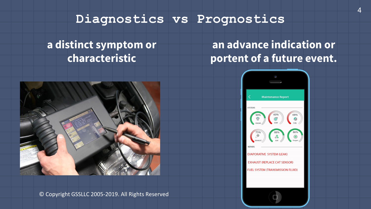### **Diagnostics vs Prognostics**

## **a distinct symptom or characteristic**

## **an advance indication or portent of a future event.**





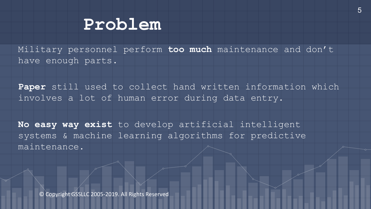## **Problem**

Military personnel perform **too much** maintenance and don't have enough parts.

**Paper** still used to collect hand written information which involves a lot of human error during data entry.

**No easy way exist** to develop artificial intelligent systems & machine learning algorithms for predictive maintenance.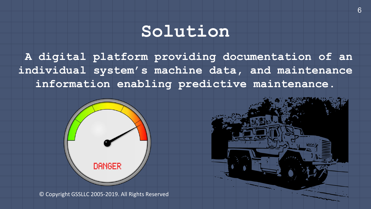# **Solution**

**A digital platform providing documentation of an individual system's machine data, and maintenance information enabling predictive maintenance.**





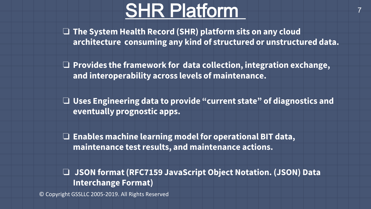# **SHR Platform**

❏ **The System Health Record (SHR) platform sits on any cloud architecture consuming any kind of structured or unstructured data.**

❏ **Provides the framework for data collection, integration exchange, and interoperability across levels of maintenance.**

❏ **Uses Engineering data to provide "current state" of diagnostics and eventually prognostic apps.**

❏ **Enables machine learning model for operational BIT data, maintenance test results, and maintenance actions.**

❏ **JSON format (RFC7159 JavaScript Object Notation. (JSON) Data Interchange Format)**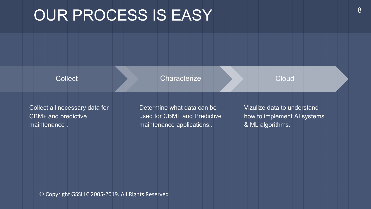# OUR PROCESS IS EASY And The SAMPLE SEASY ASSESSMENT RANGE

**Collect** 

**Characterize** 

### **Cloud**

Collect all necessary data for CBM+ and predictive maintenance .

Determine what data can be used for CBM+ and Predictive maintenance applications..

Vizulize data to understand how to implement AI systems & ML algorithms.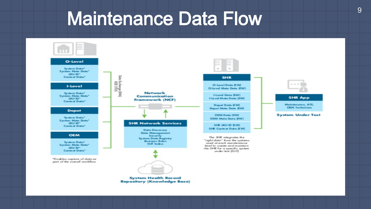# Maintenance Data Flow

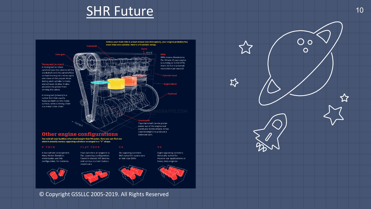## SHR Future



### **V TWIN**

A two cylinder arrangement. Many Harley-Davidson motorcycles use this configuration, for instance.

Four cylinders arranged in a flat, opposing configuration. Found in classic VW Beetles and various current Subaru





Eight opposing cylinders. Generally suited for muscle-car applications or heavy duty engines.